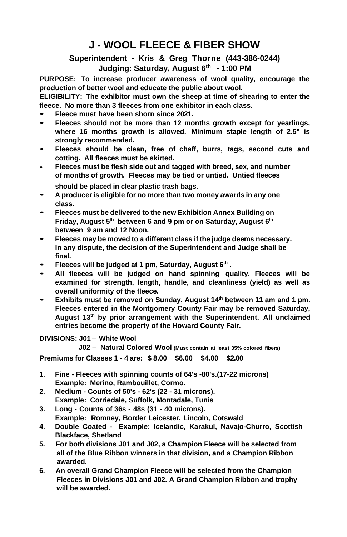## **J - WOOL FLEECE & FIBER SHOW**

## **Superintendent - Kris & Greg Thorne (443-386-0244) Judging: Saturday, August 6 th - 1:00 PM**

**PURPOSE: To increase producer awareness of wool quality, encourage the production of better wool and educate the public about wool.**

**ELIGIBILITY: The exhibitor must own the sheep at time of shearing to enter the fleece. No more than 3 fleeces from one exhibitor in each class.**

- **Fleece must have been shorn since 2021.**
- **Fleeces should not be more than 12 months growth except for yearlings, where 16 months growth is allowed. Minimum staple length of 2.5" is strongly recommended.**
- **Fleeces should be clean, free of chaff, burrs, tags, second cuts and cotting. All fleeces must be skirted.**
- **Fleeces must be flesh side out and tagged with breed, sex, and number of months of growth. Fleeces may be tied or untied. Untied fleeces**
	- **should be placed in clear plastic trash bags.**
- **<sup>A</sup> produceris eligible for no more than two money awards in any one class.**
- **Fleeces must be delivered to the new Exhibition Annex Building on Friday, August 5 th between 6 and 9 pm or on Saturday, August 6 th between 9 am and 12 Noon.**
- **Fleeces may be moved to <sup>a</sup> different class if the judge deems necessary. In any dispute, the decision of the Superintendent and Judge shall be final.**
- **Fleeces will be judged at 1 pm, Saturday, August 6 th .**
- **All fleeces will be judged on hand spinning quality. Fleeces will be examined for strength, length, handle, and cleanliness (yield) as well as overall uniformity of the fleece.**
- **Exhibits must be removed on Sunday, August <sup>14</sup> th between 11 am and 1 pm. Fleeces entered in the Montgomery County Fair may be removed Saturday, August 13 th by prior arrangement with the Superintendent. All unclaimed entries become the property of the Howard County Fair.**

**DIVISIONS: J01 – White Wool**

 **J02 – Natural Colored Wool (Must contain at least 35% colored fibers)**

**Premiums for Classes 1 - 4 are: \$ 8.00 \$6.00 \$4.00 \$2.00**

- **1. Fine - Fleeces with spinning counts of 64's -80's.(17-22 microns) Example: Merino, Rambouillet, Cormo.**
- **2. Medium - Counts of 50's - 62's (22 - 31 microns). Example: Corriedale, Suffolk, Montadale, Tunis**
- **3. Long - Counts of 36s - 48s (31 - 40 microns). Example: Romney, Border Leicester, Lincoln, Cotswald**
- **4. Double Coated - Example: Icelandic, Karakul, Navajo-Churro, Scottish Blackface, Shetland**
- **5. For both divisions J01 and J02, a Champion Fleece will be selected from all of the Blue Ribbon winners in that division, and a Champion Ribbon awarded.**
- **6. An overall Grand Champion Fleece will be selected from the Champion Fleeces in Divisions J01 and J02. A Grand Champion Ribbon and trophy will be awarded.**